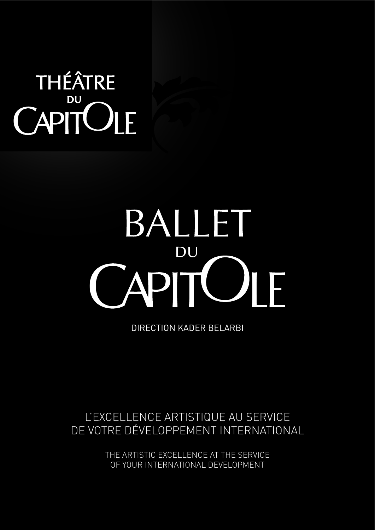### THÉÂTRE **DU** CAPITULE

### BALLET DU T **API** F

DIRECTION KADER BELARBI

### L'EXCELLENCE ARTISTIQUE AU SERVICE DE VOTRE DÉVELOPPEMENT INTERNATIONAL

THE ARTISTIC EXCELLENCE AT THE SERVICE OF YOUR INTERNATIONAL DEVELOPMENT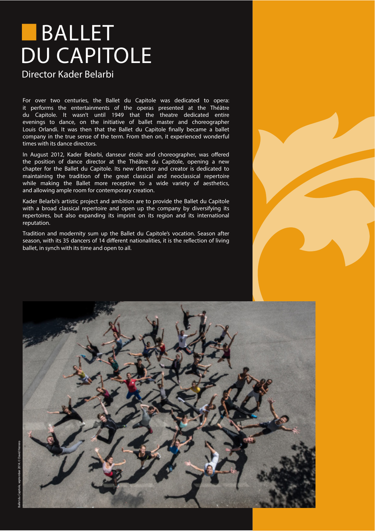### **BALLET DU CAPITOLE**

#### Director Kader Belarbi

For over two centuries, the Ballet du Capitole was dedicated to opera: it performs the entertainments of the operas presented at the Théâtre du Capitole. It wasn't until 1949 that the theatre dedicated entire evenings to dance, on the initiative of ballet master and choreographer Louis Orlandi. It was then that the Ballet du Capitole finally became a ballet company in the true sense of the term. From then on, it experienced wonderful times with its dance directors.

In August 2012, Kader Belarbi, danseur étoile and choreographer, was offered the position of dance director at the Théâtre du Capitole, opening a new chapter for the Ballet du Capitole. Its new director and creator is dedicated to maintaining the tradition of the great classical and neoclassical repertoire while making the Ballet more receptive to a wide variety of aesthetics, and allowing ample room for contemporary creation.

Kader Belarbi's artistic project and ambition are to provide the Ballet du Capitole with a broad classical repertoire and open up the company by diversifying its repertoires, but also expanding its imprint on its region and its international reputation.

Tradition and modernity sum up the Ballet du Capitole's vocation. Season after season, with its 35 dancers of 14 different nationalities, it is the reflection of living ballet, in synch with its time and open to all.

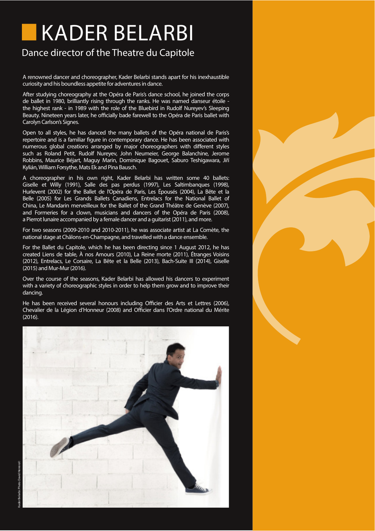# **KADER BELARBI**

#### Dance director of the Theatre du Capitole

A renowned dancer and choreographer, Kader Belarbi stands apart for his inexhaustible curiosity and his boundless appetite for adventures in dance.

After studying choreography at the Opéra de Paris's dance school, he joined the corps de ballet in 1980, brilliantly rising through the ranks. He was named danseur étoile the highest rank - in 1989 with the role of the Bluebird in Rudolf Nureyev's Sleeping Beauty. Nineteen years later, he officially bade farewell to the Opéra de Paris ballet with Carolyn Carlson's Signes.

Open to all styles, he has danced the many ballets of the Opéra national de Paris's repertoire and is a familiar figure in contemporary dance. He has been associated with numerous global creations arranged by major choreographers with different styles such as Roland Petit, Rudolf Nureyev, John Neumeier, George Balanchine, Jerome Robbins, Maurice Béjart, Maguy Marin, Dominique Bagouet, Saburo Teshigawara, Jiří Kylián, William Forsythe, Mats Ek and Pina Bausch.

A choreographer in his own right, Kader Belarbi has written some 40 ballets: Giselle et Willy (1991), Salle des pas perdus (1997), Les Saltimbanques (1998), Hurlevent (2002) for the Ballet de l'Opéra de Paris, Les Épousés (2004), La Bête et la Belle (2005) for Les Grands Ballets Canadiens, Entrelacs for the National Ballet of China, Le Mandarin merveilleux for the Ballet of the Grand Théâtre de Genève (2007), and Formeries for a clown, musicians and dancers of the Opéra de Paris (2008). a Pierrot lunaire accompanied by a female dancer and a quitarist (2011), and more.

For two seasons (2009-2010 and 2010-2011), he was associate artist at La Comète, the national stage at Châlons-en-Champagne, and travelled with a dance ensemble.

For the Ballet du Capitole, which he has been directing since 1 August 2012, he has created Liens de table, À nos Amours (2010), La Reine morte (2011), Étranges Voisins (2012), Entrelacs, Le Corsaire, La Bête et la Belle (2013), Bach-Suite III (2014), Giselle (2015) and Mur-Mur (2016).

Over the course of the seasons, Kader Belarbi has allowed his dancers to experiment with a variety of choreographic styles in order to help them grow and to improve their dancing.

He has been received several honours including Officier des Arts et Lettres (2006). Chevalier de la Légion d'Honneur (2008) and Officier dans l'Ordre national du Mérite  $(2016)$ 

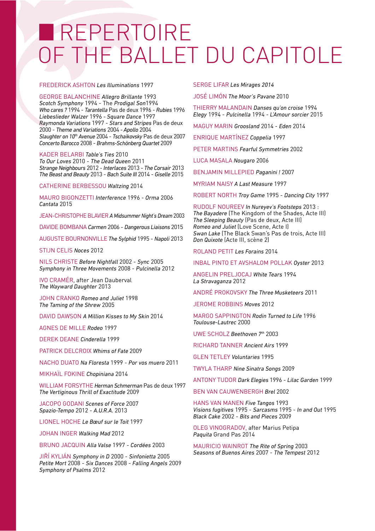### REPERTOIRE OF THE BALLET DU CAPITOI F

#### **FREDERICK ASHTON Les Illuminations 1997**

**GEORGE BALANCHINE Allegro Brillante 1993** Scotch Symphony 1994 - The Prodigal Son1994 Who cares ? 1994 - Tarantella Pas de deux 1996 - Rubies 1996 Liebeslieder Walzer 1996 - Square Dance 1997 Raymonda Variations 1997 - Stars and Stripes Pas de deux 2000 - Theme and Variations 2004 - Apollo 2004 Slaughter on 10<sup>th</sup> Avenue 2004 - Tschaikovsky Pas de deux 2007 Concerto Barocco 2008 - Brahms-Schönberg Quartet 2009

KADER BELARBI Table's Ties 2010 To Our Loves 2010 - The Dead Queen 2011 Strange Neighbours 2012 - Interlaces 2013 - The Corsair 2013 The Beast and Beauty 2013 - Bach Suite III 2014 - Giselle 2015

**CATHERINE BERBESSOU Waltzing 2014** 

MAURO BIGONZETTI Interference 1996 - Orma 2006 Cantata 2015

JEAN-CHRISTOPHE BLAVIER A Midsummer Night's Dream 2003

DAVIDE BOMBANA Carmen 2006 - Dangerous Liaisons 2015

AUGUSTE BOURNONVILLE The Sylphid 1995 - Napoli 2013

STIJN CELIS Noces 2012

NILS CHRISTE Before Nightfall 2002 - Sync 2005 Symphony in Three Movements 2008 - Pulcinella 2012

**IVO CRAMÉR, after Jean Dauberval** The Wayward Daughter 2013

JOHN CRANKO Romeo and Juliet 1998 The Taming of the Shrew 2005

DAVID DAWSON A Million Kisses to My Skin 2014

AGNES DE MILLE Rodeo 1997

**DEREK DEANE Cinderella 1999** 

PATRICK DELCROIX Whims of Fate 2009

NACHO DUATO Na Floresta 1999 - Por vos muero 2011

MIKHAÏL FOKINE Chopiniana 2014

WILLIAM FORSYTHE Herman Schmerman Pas de deux 1997 The Vertiginous Thrill of Exactitude 2009

JACOPO GODANI Scenes of Force 2007 Spazio-Tempo 2012 - A.U.R.A. 2013

LIONEL HOCHE Le Bœuf sur le Toit 1997

JOHAN INGER Walking Mad 2012

BRUNO JACQUIN Alla Valse 1997 - Cordées 2003

JIŘÍ KYLIÁN Symphony in D 2000 - Sinfonietta 2005 Petite Mort 2008 - Six Dances 2008 - Falling Angels 2009 Symphony of Psalms 2012

**SERGE LIFAR Les Mirages 2014** 

JOSÉ LIMÓN The Moor's Pavane 2010

THIERRY MALANDAIN Danses qu'on croise 1994 Elegy 1994 - Pulcinella 1994 - L'Amour sorcier 2015

MAGUY MARIN Groosland 2014 - Eden 2014

ENRIQUE MARTÍNEZ Coppelia 1997

PETER MARTINS Fearful Symmetries 2002

**LUCA MASALA Nougaro 2006** 

BENJAMIN MILLEPIED Paganini ! 2007

MYRIAM NAISY A Last Measure 1997

ROBERT NORTH Troy Game 1995 - Dancing City 1997

RUDOLF NOUREEV In Nureyev's Footsteps 2013 : The Bayadere (The Kingdom of the Shades, Acte III) The Sleeping Beauty (Pas de deux, Acte III) Romeo and Juliet Love Scene, Acte II Swan Lake (The Black Swan's Pas de trois, Acte III) Don Quixote (Acte III, scène 2)

ROLAND PETIT Les Forains 2014

**INBAL PINTO ET AVSHALOM POLLAK Oyster 2013** 

ANGELIN PRELJOCAJ White Tears 1994 La Stravaganza 2012

ANDRÉ PROKOVSKY The Three Musketeers 2011

JEROME ROBBINS Moves 2012

MARGO SAPPINGTON Rodin Turned to Life 1996 Toulouse-Lautrec 2000

UWE SCHOLZ Beethoven 7th 2003

**RICHARD TANNER Ancient Airs 1999** 

**GLEN TETLEY Voluntaries 1995** 

TWYLA THARP Nine Sinatra Songs 2009

ANTONY TUDOR Dark Elegies 1996 - Lilac Garden 1999

**BEN VAN CAUWENBERGH Brel 2002** 

HANS VAN MANEN Five Tangos 1993 Visions fugitives 1995 - Sarcasms 1995 - In and Out 1995 Black Cake 2002 - Bits and Pieces 2009

OLEG VINOGRADOV, after Marius Petipa Paguita Grand Pas 2014

MAURICIO WAINROT The Rite of Spring 2003 Seasons of Buenos Aires 2007 - The Tempest 2012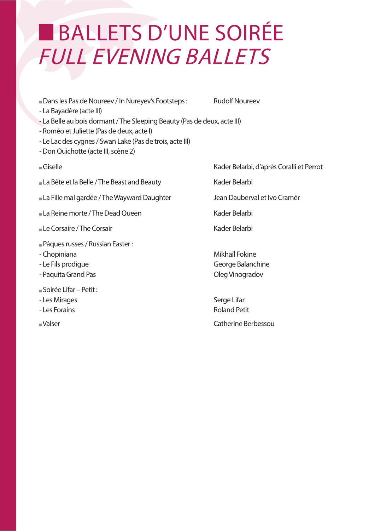## BALLETS D'UNE SOIRÉE **FULL EVENING BALLETS**

Dans les Pas de Noureev / In Nureyev's Footsteps :

**Rudolf Noureev** 

- La Bayadère (acte III)
- La Belle au bois dormant / The Sleeping Beauty (Pas de deux, acte III)
- Roméo et Juliette (Pas de deux, acte I)
- Le Lac des cygnes / Swan Lake (Pas de trois, acte III)
- Don Ouichotte (acte III, scène 2)
- $Giselle$
- La Bête et la Belle / The Beast and Beauty
- La Fille mal gardée / The Wayward Daughter
- La Reine morte / The Dead Queen
- Le Corsaire / The Corsair
- Pâques russes / Russian Easter:
- Chopiniana
- Le Fils prodigue
- Paguita Grand Pas
- Soirée Lifar Petit:
- Les Mirages
- Les Forains
- -Valser
- Kader Belarbi, d'après Coralli et Perrot
- Kader Belarbi
- Jean Dauberval et Ivo Cramér
- Kader Belarbi
- Kader Belarbi

Mikhaïl Fokine George Balanchine Oleg Vinogradov

Serge Lifar **Roland Petit** Catherine Berbessou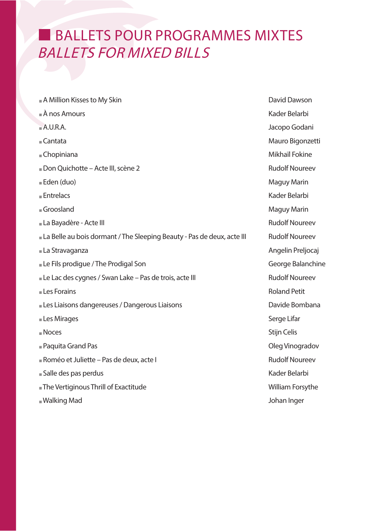### BALLETS POUR PROGRAMMES MIXTES **BALLETS FOR MIXED BILLS**

| A Million Kisses to My Skin                                            | David Dawson          |
|------------------------------------------------------------------------|-----------------------|
| $\mathbb{R}$ A nos Amours                                              | Kader Belarbi         |
| A.U.R.A.                                                               | Jacopo Godani         |
| ■Cantata                                                               | Mauro Bigonzetti      |
| ■ Chopiniana                                                           | Mikhaïl Fokine        |
| Don Quichotte - Acte III, scène 2                                      | <b>Rudolf Noureev</b> |
| Eden (duo)                                                             | Maguy Marin           |
| <b>Entrelacs</b>                                                       | Kader Belarbi         |
| Groosland                                                              | Maguy Marin           |
| La Bayadère - Acte III                                                 | <b>Rudolf Noureev</b> |
| La Belle au bois dormant / The Sleeping Beauty - Pas de deux, acte III | <b>Rudolf Noureev</b> |
| La Stravaganza                                                         | Angelin Preljocaj     |
| Le Fils prodigue / The Prodigal Son                                    | George Balanchine     |
| Le Lac des cygnes / Swan Lake - Pas de trois, acte III                 | <b>Rudolf Noureev</b> |
| Les Forains                                                            | <b>Roland Petit</b>   |
| Les Liaisons dangereuses / Dangerous Liaisons                          | Davide Bombana        |
| Les Mirages                                                            | Serge Lifar           |
| <b>Noces</b>                                                           | <b>Stijn Celis</b>    |
| <b>Paquita Grand Pas</b>                                               | Oleg Vinogradov       |
| Roméo et Juliette - Pas de deux, acte l                                | <b>Rudolf Noureev</b> |
| salle des pas perdus                                                   | Kader Belarbi         |
| The Vertiginous Thrill of Exactitude                                   | William Forsythe      |
| ■ Walking Mad                                                          | Johan Inger           |
|                                                                        |                       |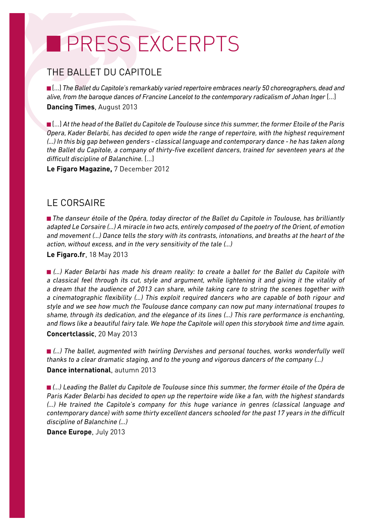## **PRESS EXCERPTS**

#### THE BALLET DU CAPITOLE

■(...) The Ballet du Capitole's remarkably varied repertoire embraces nearly 50 choreographers, dead and alive, from the baroque dances of Francine Lancelot to the contemporary radicalism of Johan Inger (...) **Dancing Times, August 2013** 

 $\blacksquare$  (...) At the head of the Ballet du Capitole de Toulouse since this summer, the former Etoile of the Paris Opera, Kader Belarbi, has decided to open wide the range of repertoire, with the highest requirement (...) In this big gap between genders - classical language and contemporary dance - he has taken along the Ballet du Capitole, a company of thirty-five excellent dancers, trained for seventeen years at the difficult discipline of Balanchine. [...]

Le Figaro Magazine, 7 December 2012

#### **IF CORSAIRF**

The danseur étoile of the Opéra, today director of the Ballet du Capitole in Toulouse, has brilliantly adapted Le Corsaire (...) A miracle in two acts, entirely composed of the poetry of the Orient, of emotion and movement (...) Dance tells the story with its contrasts, intonations, and breaths at the heart of the action, without excess, and in the very sensitivity of the tale (...)

Le Figaro.fr, 18 May 2013

■ (...) Kader Belarbi has made his dream reality: to create a ballet for the Ballet du Capitole with a classical feel through its cut, style and argument, while lightening it and giving it the vitality of a dream that the audience of 2013 can share, while taking care to string the scenes together with a cinematographic flexibility (...) This exploit required dancers who are capable of both rigour and style and we see how much the Toulouse dance company can now put many international troupes to shame, through its dedication, and the elegance of its lines (...) This rare performance is enchanting, and flows like a beautiful fairy tale. We hope the Capitole will open this storybook time and time again. Concertclassic, 20 May 2013

 $\blacksquare$  (...) The ballet, augmented with twirling Dervishes and personal touches, works wonderfully well thanks to a clear dramatic staging, and to the young and vigorous dancers of the company (...) Dance international. autumn 2013

■ (...) Leading the Ballet du Capitole de Toulouse since this summer, the former étoile of the Opéra de Paris Kader Belarbi has decided to open up the repertoire wide like a fan, with the highest standards (...) He trained the Capitole's company for this huge variance in genres (classical language and contemporary dance) with some thirty excellent dancers schooled for the past 17 years in the difficult discipline of Balanchine (...)

Dance Europe, July 2013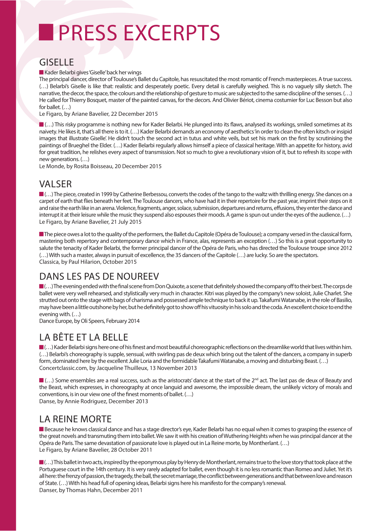# **PRESS EXCERPTS**

#### **GISFLLE**

Kader Belarbi gives 'Giselle' back her wings

The principal dancer, director of Toulouse's Ballet du Capitole, has resuscitated the most romantic of French masterpieces. A true success. (...) Belarbi's Giselle is like that: realistic and desperately poetic. Every detail is carefully weighed. This is no vaguely silly sketch. The narrative, the decor, the space, the colours and the relationship of gesture to music are subjected to the same discipline of the senses. (...) He called for Thierry Bosquet, master of the painted canvas, for the decors. And Olivier Bériot, cinema costumier for Luc Besson but also for ballet.  $( \ldots )$ 

Le Figaro, by Ariane Bavelier, 22 December 2015

...) This risky programme is nothing new for Kader Belarbi. He plunged into its flaws, analysed its workings, smiled sometimes at its naivety. He likes it, that's all there is to it. (...) Kader Belarbi demands an economy of aesthetics 'in order to clean the often kitsch or insipid images that illustrate Giselle'. He didn't touch the second act in tutus and white veils, but set his mark on the first by scrutinising the paintings of Brueghel the Elder. (...) Kader Belarbi regularly allows himself a piece of classical heritage. With an appetite for history, avid for great tradition, he relishes every aspect of transmission. Not so much to give a revolutionary vision of it, but to refresh its scope with new generations. (...)

Le Monde, by Rosita Boisseau, 20 December 2015

#### **VAI SFR**

1...) The piece, created in 1999 by Catherine Berbessou, converts the codes of the tango to the waltz with thrilling energy. She dances on a carpet of earth that flies beneath her feet. The Toulouse dancers, who have had it in their repertoire for the past year, imprint their steps on it and raise the earth like in an arena. Violence, fragments, anger, solace, submission, departures and returns, effusions, they enter the dance and interrupt it at their leisure while the music they suspend also espouses their moods. A game is spun out under the eyes of the audience. (...) Le Figaro, by Ariane Bavelier, 21 July 2015

The piece owes a lot to the quality of the performers, the Ballet du Capitole (Opéra de Toulouse); a company versed in the classical form, mastering both repertory and contemporary dance which in France, alas, represents an exception (...) So this is a great opportunity to salute the tenacity of Kader Belarbi, the former principal dancer of the Opéra de Paris, who has directed the Toulouse troupe since 2012 (...) With such a master, always in pursuit of excellence, the 35 dancers of the Capitole (...) are lucky. So are the spectators, Classica, by Paul Hilarion, October 2015

#### DANS LES PAS DE NOUREEV

 $\blacksquare$ (...) The evening ended with the final scene from Don Quixote, a scene that definitely showed the company off to their best. The corps de ballet were very well rehearsed, and stylistically very much in character. Kitri was played by the company's new soloist, Julie Charlet. She strutted out onto the stage with bags of charisma and possessed ample technique to back it up. Takafumi Watanabe, in the role of Basilio, may have been a little outshone by her, but he definitely got to show off his vituosity in his solo and the coda. An excellent choice to end the evening with.  $(...)$ 

Dance Europe, by Oli Speers, February 2014

#### I A BÊTE ET LA BELLE

I...) Kader Belarbi signs here one of his finest and most beautiful choreographic reflections on the dreamlike world that lives within him. (...) Belarbi's choreography is supple, sensual, with swirling pas de deux which bring out the talent of the dancers, a company in superb form, dominated here by the excellent Julie Loria and the formidable Takafumi Watanabe, a moving and disturbing Beast. (...) Concertclassic.com, by Jacqueline Thuilleux, 13 November 2013

 $\blacksquare$  (...) Some ensembles are a real success, such as the aristocrats' dance at the start of the 2<sup>nd</sup> act. The last pas de deux of Beauty and the Beast, which expresses, in choreography at once languid and awesome, the impossible dream, the unlikely victory of morals and conventions, is in our view one of the finest moments of ballet.  $(\ldots)$ Danse, by Annie Rodriguez, December 2013

#### **LA REINE MORTE**

Because he knows classical dance and has a stage director's eye, Kader Belarbi has no equal when it comes to grasping the essence of the great novels and transmuting them into ballet. We saw it with his creation of Wuthering Heights when he was principal dancer at the Opéra de Paris. The same devastation of passionate love is played out in La Reine morte, by Montherlant. (...) Le Figaro, by Ariane Bavelier, 28 October 2011

 $\blacksquare$ (...) This ballet in two acts, inspired by the eponymous play by Henry de Montherlant, remains true to the love story that took place at the Portuguese court in the 14th century. It is very rarely adapted for ballet, even though it is no less romantic than Romeo and Juliet. Yet it's all here: the frenzy of passion, the tragedy, the ball, the secret marriage, the conflict between generations and that between love and reason of State. (...) With his head full of opening ideas, Belarbi signs here his manifesto for the company's renewal. Danser, by Thomas Hahn, December 2011